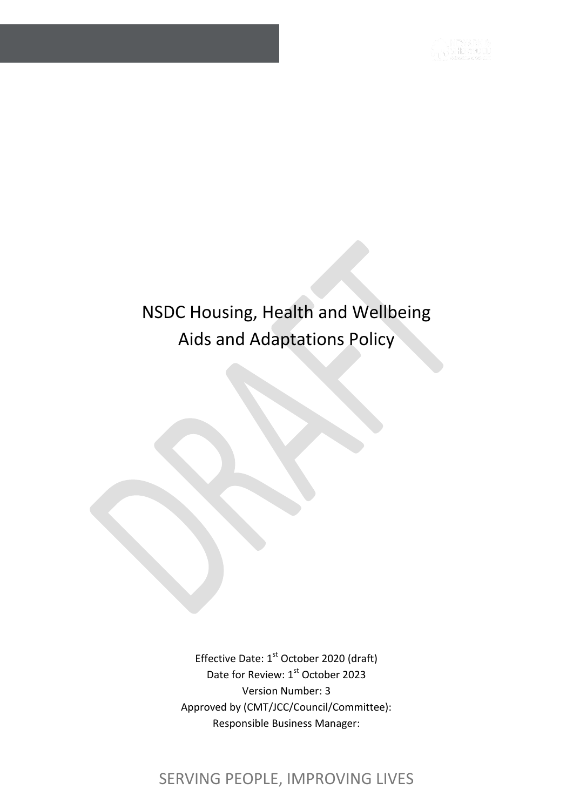# NSDC Housing, Health and Wellbeing Aids and Adaptations Policy

Effective Date: 1<sup>st</sup> October 2020 (draft) Date for Review: 1st October 2023 Version Number: 3 Approved by (CMT/JCC/Council/Committee): Responsible Business Manager:

# SERVING PEOPLE, IMPROVING LIVES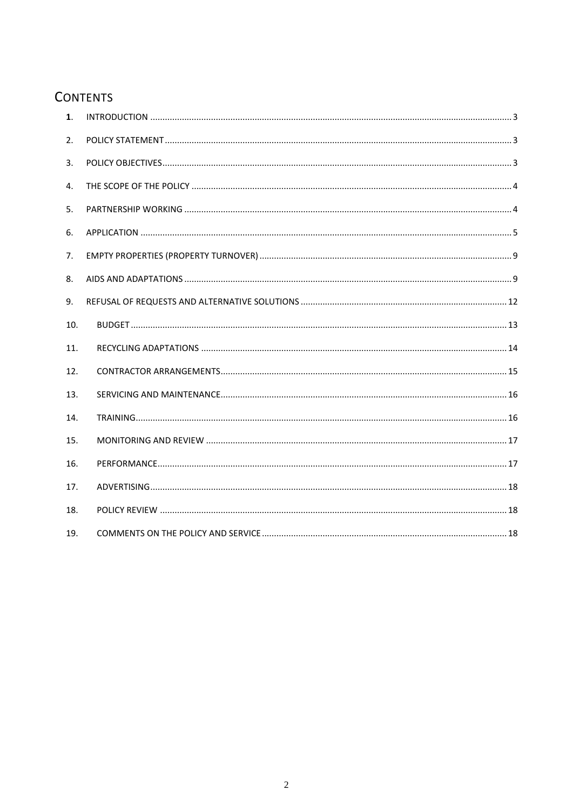# **CONTENTS**

| $\mathbf{1}$ . |  |
|----------------|--|
| 2.             |  |
| 3.             |  |
| 4.             |  |
| 5.             |  |
| 6.             |  |
| 7.             |  |
| 8.             |  |
| 9.             |  |
| 10.            |  |
| 11.            |  |
| 12.            |  |
| 13.            |  |
| 14.            |  |
| 15.            |  |
| 16.            |  |
| 17.            |  |
| 18.            |  |
| 19.            |  |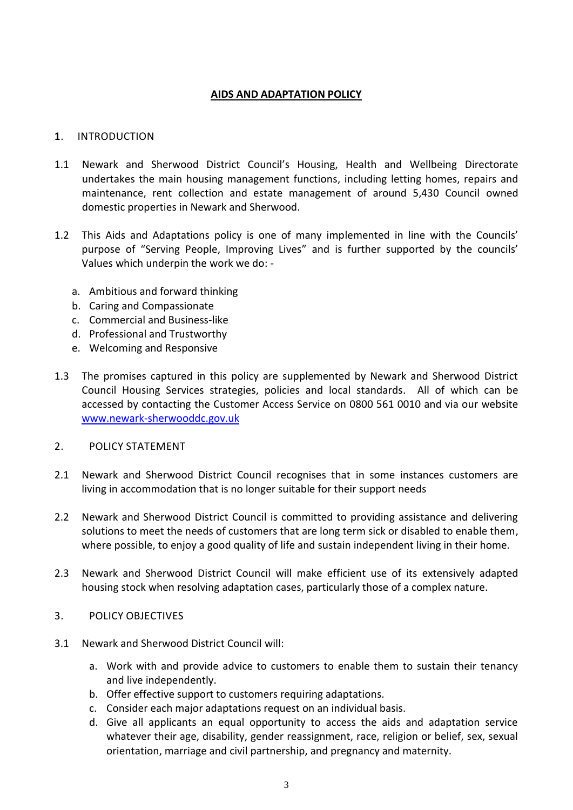# **AIDS AND ADAPTATION POLICY**

# <span id="page-2-0"></span>**1**. INTRODUCTION

- 1.1 Newark and Sherwood District Council's Housing, Health and Wellbeing Directorate undertakes the main housing management functions, including letting homes, repairs and maintenance, rent collection and estate management of around 5,430 Council owned domestic properties in Newark and Sherwood.
- 1.2 This Aids and Adaptations policy is one of many implemented in line with the Councils' purpose of "Serving People, Improving Lives" and is further supported by the councils' Values which underpin the work we do:
	- a. Ambitious and forward thinking
	- b. Caring and Compassionate
	- c. Commercial and Business-like
	- d. Professional and Trustworthy
	- e. Welcoming and Responsive
- 1.3 The promises captured in this policy are supplemented by Newark and Sherwood District Council Housing Services strategies, policies and local standards. All of which can be accessed by contacting the Customer Access Service on 0800 561 0010 and via our website [www.newark-sherwooddc.gov.uk](http://www.newark-sherwooddc.gov.uk/)
- <span id="page-2-1"></span>2. POLICY STATEMENT
- 2.1 Newark and Sherwood District Council recognises that in some instances customers are living in accommodation that is no longer suitable for their support needs
- 2.2 Newark and Sherwood District Council is committed to providing assistance and delivering solutions to meet the needs of customers that are long term sick or disabled to enable them, where possible, to enjoy a good quality of life and sustain independent living in their home.
- 2.3 Newark and Sherwood District Council will make efficient use of its extensively adapted housing stock when resolving adaptation cases, particularly those of a complex nature.
- <span id="page-2-2"></span>3. POLICY OBJECTIVES
- 3.1 Newark and Sherwood District Council will:
	- a. Work with and provide advice to customers to enable them to sustain their tenancy and live independently.
	- b. Offer effective support to customers requiring adaptations.
	- c. Consider each major adaptations request on an individual basis.
	- d. Give all applicants an equal opportunity to access the aids and adaptation service whatever their age, disability, gender reassignment, race, religion or belief, sex, sexual orientation, marriage and civil partnership, and pregnancy and maternity.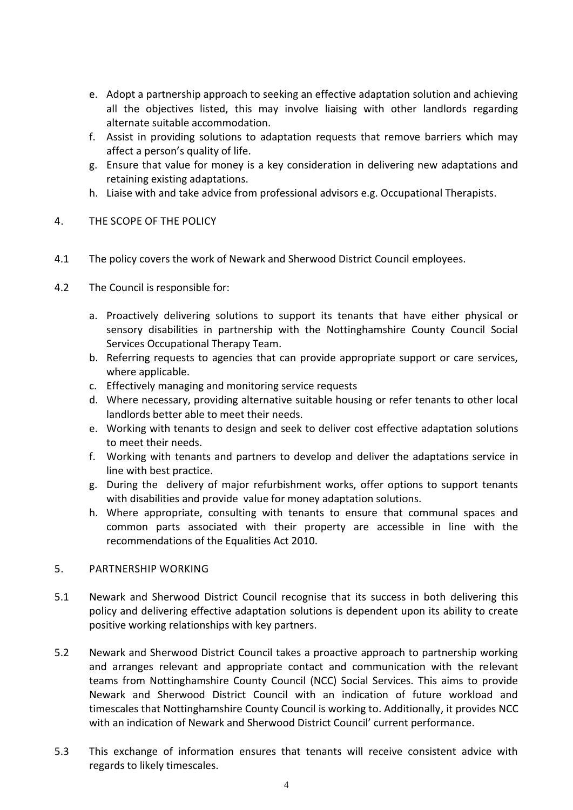- e. Adopt a partnership approach to seeking an effective adaptation solution and achieving all the objectives listed, this may involve liaising with other landlords regarding alternate suitable accommodation.
- f. Assist in providing solutions to adaptation requests that remove barriers which may affect a person's quality of life.
- g. Ensure that value for money is a key consideration in delivering new adaptations and retaining existing adaptations.
- h. Liaise with and take advice from professional advisors e.g. Occupational Therapists.

# <span id="page-3-0"></span>4. THE SCOPE OF THE POLICY

- 4.1 The policy covers the work of Newark and Sherwood District Council employees.
- 4.2 The Council is responsible for:
	- a. Proactively delivering solutions to support its tenants that have either physical or sensory disabilities in partnership with the Nottinghamshire County Council Social Services Occupational Therapy Team.
	- b. Referring requests to agencies that can provide appropriate support or care services, where applicable.
	- c. Effectively managing and monitoring service requests
	- d. Where necessary, providing alternative suitable housing or refer tenants to other local landlords better able to meet their needs.
	- e. Working with tenants to design and seek to deliver cost effective adaptation solutions to meet their needs.
	- f. Working with tenants and partners to develop and deliver the adaptations service in line with best practice.
	- g. During the delivery of major refurbishment works, offer options to support tenants with disabilities and provide value for money adaptation solutions.
	- h. Where appropriate, consulting with tenants to ensure that communal spaces and common parts associated with their property are accessible in line with the recommendations of the Equalities Act 2010.

# <span id="page-3-1"></span>5. PARTNERSHIP WORKING

- 5.1 Newark and Sherwood District Council recognise that its success in both delivering this policy and delivering effective adaptation solutions is dependent upon its ability to create positive working relationships with key partners.
- 5.2 Newark and Sherwood District Council takes a proactive approach to partnership working and arranges relevant and appropriate contact and communication with the relevant teams from Nottinghamshire County Council (NCC) Social Services. This aims to provide Newark and Sherwood District Council with an indication of future workload and timescales that Nottinghamshire County Council is working to. Additionally, it provides NCC with an indication of Newark and Sherwood District Council' current performance.
- 5.3 This exchange of information ensures that tenants will receive consistent advice with regards to likely timescales.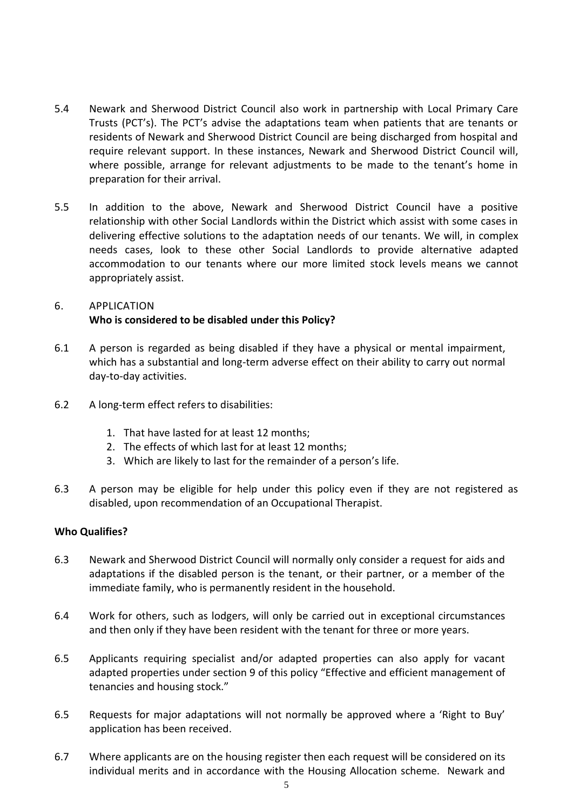- 5.4 Newark and Sherwood District Council also work in partnership with Local Primary Care Trusts (PCT's). The PCT's advise the adaptations team when patients that are tenants or residents of Newark and Sherwood District Council are being discharged from hospital and require relevant support. In these instances, Newark and Sherwood District Council will, where possible, arrange for relevant adjustments to be made to the tenant's home in preparation for their arrival.
- 5.5 In addition to the above, Newark and Sherwood District Council have a positive relationship with other Social Landlords within the District which assist with some cases in delivering effective solutions to the adaptation needs of our tenants. We will, in complex needs cases, look to these other Social Landlords to provide alternative adapted accommodation to our tenants where our more limited stock levels means we cannot appropriately assist.

# <span id="page-4-0"></span>6. APPLICATION **Who is considered to be disabled under this Policy?**

- 6.1 A person is regarded as being disabled if they have a physical or mental impairment, which has a substantial and long-term adverse effect on their ability to carry out normal day-to-day activities.
- 6.2 A long-term effect refers to disabilities:
	- 1. That have lasted for at least 12 months;
	- 2. The effects of which last for at least 12 months;
	- 3. Which are likely to last for the remainder of a person's life.
- 6.3 A person may be eligible for help under this policy even if they are not registered as disabled, upon recommendation of an Occupational Therapist.

# **Who Qualifies?**

- 6.3 Newark and Sherwood District Council will normally only consider a request for aids and adaptations if the disabled person is the tenant, or their partner, or a member of the immediate family, who is permanently resident in the household.
- 6.4 Work for others, such as lodgers, will only be carried out in exceptional circumstances and then only if they have been resident with the tenant for three or more years.
- 6.5 Applicants requiring specialist and/or adapted properties can also apply for vacant adapted properties under section 9 of this policy "Effective and efficient management of tenancies and housing stock."
- 6.5 Requests for major adaptations will not normally be approved where a 'Right to Buy' application has been received.
- 6.7 Where applicants are on the housing register then each request will be considered on its individual merits and in accordance with the Housing Allocation scheme. Newark and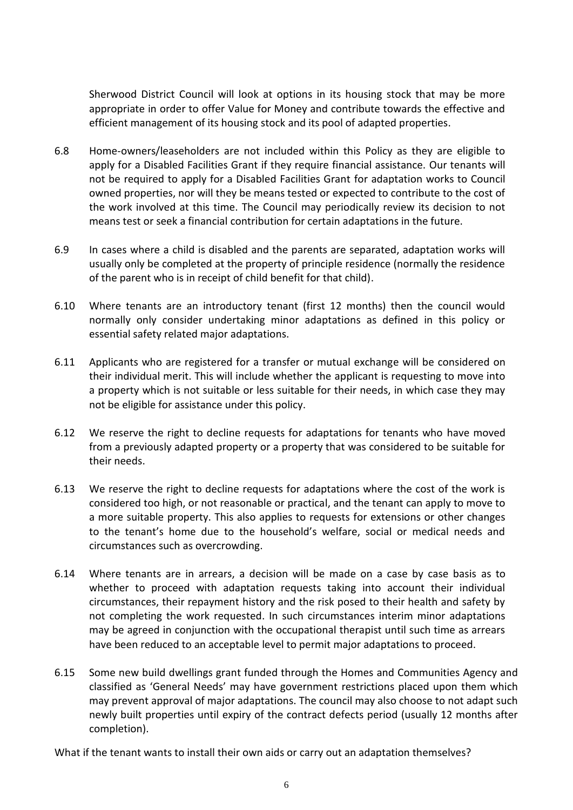Sherwood District Council will look at options in its housing stock that may be more appropriate in order to offer Value for Money and contribute towards the effective and efficient management of its housing stock and its pool of adapted properties.

- 6.8 Home-owners/leaseholders are not included within this Policy as they are eligible to apply for a Disabled Facilities Grant if they require financial assistance. Our tenants will not be required to apply for a Disabled Facilities Grant for adaptation works to Council owned properties, nor will they be means tested or expected to contribute to the cost of the work involved at this time. The Council may periodically review its decision to not means test or seek a financial contribution for certain adaptations in the future.
- 6.9 In cases where a child is disabled and the parents are separated, adaptation works will usually only be completed at the property of principle residence (normally the residence of the parent who is in receipt of child benefit for that child).
- 6.10 Where tenants are an introductory tenant (first 12 months) then the council would normally only consider undertaking minor adaptations as defined in this policy or essential safety related major adaptations.
- 6.11 Applicants who are registered for a transfer or mutual exchange will be considered on their individual merit. This will include whether the applicant is requesting to move into a property which is not suitable or less suitable for their needs, in which case they may not be eligible for assistance under this policy.
- 6.12 We reserve the right to decline requests for adaptations for tenants who have moved from a previously adapted property or a property that was considered to be suitable for their needs.
- 6.13 We reserve the right to decline requests for adaptations where the cost of the work is considered too high, or not reasonable or practical, and the tenant can apply to move to a more suitable property. This also applies to requests for extensions or other changes to the tenant's home due to the household's welfare, social or medical needs and circumstances such as overcrowding.
- 6.14 Where tenants are in arrears, a decision will be made on a case by case basis as to whether to proceed with adaptation requests taking into account their individual circumstances, their repayment history and the risk posed to their health and safety by not completing the work requested. In such circumstances interim minor adaptations may be agreed in conjunction with the occupational therapist until such time as arrears have been reduced to an acceptable level to permit major adaptations to proceed.
- 6.15 Some new build dwellings grant funded through the Homes and Communities Agency and classified as 'General Needs' may have government restrictions placed upon them which may prevent approval of major adaptations. The council may also choose to not adapt such newly built properties until expiry of the contract defects period (usually 12 months after completion).

What if the tenant wants to install their own aids or carry out an adaptation themselves?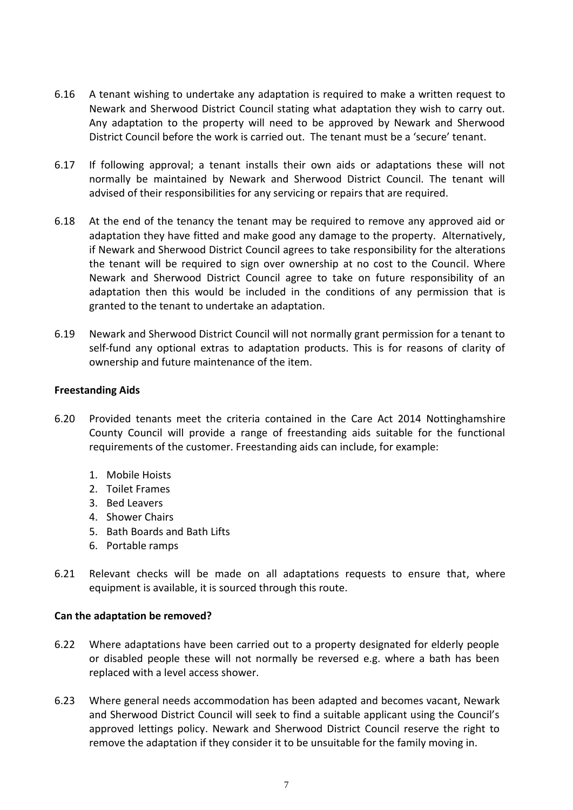- 6.16 A tenant wishing to undertake any adaptation is required to make a written request to Newark and Sherwood District Council stating what adaptation they wish to carry out. Any adaptation to the property will need to be approved by Newark and Sherwood District Council before the work is carried out. The tenant must be a 'secure' tenant.
- 6.17 If following approval; a tenant installs their own aids or adaptations these will not normally be maintained by Newark and Sherwood District Council. The tenant will advised of their responsibilities for any servicing or repairs that are required.
- 6.18 At the end of the tenancy the tenant may be required to remove any approved aid or adaptation they have fitted and make good any damage to the property. Alternatively, if Newark and Sherwood District Council agrees to take responsibility for the alterations the tenant will be required to sign over ownership at no cost to the Council. Where Newark and Sherwood District Council agree to take on future responsibility of an adaptation then this would be included in the conditions of any permission that is granted to the tenant to undertake an adaptation.
- 6.19 Newark and Sherwood District Council will not normally grant permission for a tenant to self-fund any optional extras to adaptation products. This is for reasons of clarity of ownership and future maintenance of the item.

# **Freestanding Aids**

- 6.20 Provided tenants meet the criteria contained in the Care Act 2014 Nottinghamshire County Council will provide a range of freestanding aids suitable for the functional requirements of the customer. Freestanding aids can include, for example:
	- 1. Mobile Hoists
	- 2. Toilet Frames
	- 3. Bed Leavers
	- 4. Shower Chairs
	- 5. Bath Boards and Bath Lifts
	- 6. Portable ramps
- 6.21 Relevant checks will be made on all adaptations requests to ensure that, where equipment is available, it is sourced through this route.

# **Can the adaptation be removed?**

- 6.22 Where adaptations have been carried out to a property designated for elderly people or disabled people these will not normally be reversed e.g. where a bath has been replaced with a level access shower.
- 6.23 Where general needs accommodation has been adapted and becomes vacant, Newark and Sherwood District Council will seek to find a suitable applicant using the Council's approved lettings policy. Newark and Sherwood District Council reserve the right to remove the adaptation if they consider it to be unsuitable for the family moving in.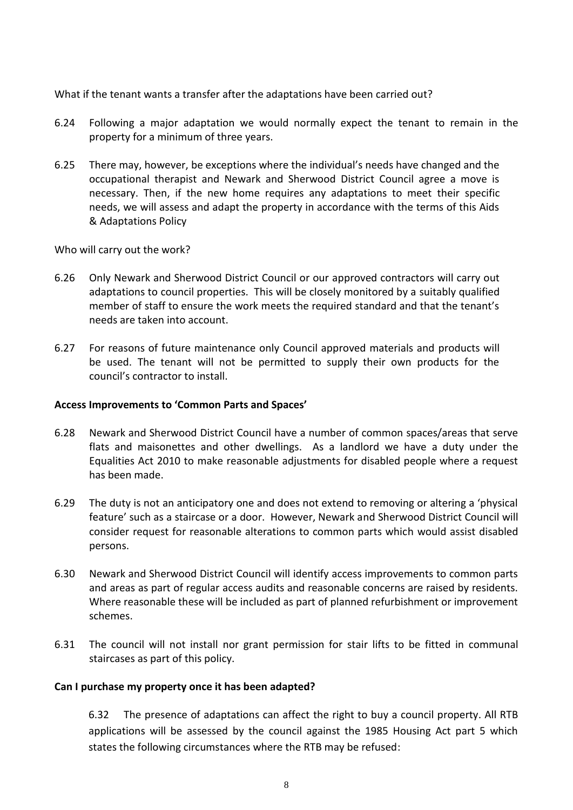What if the tenant wants a transfer after the adaptations have been carried out?

- 6.24 Following a major adaptation we would normally expect the tenant to remain in the property for a minimum of three years.
- 6.25 There may, however, be exceptions where the individual's needs have changed and the occupational therapist and Newark and Sherwood District Council agree a move is necessary. Then, if the new home requires any adaptations to meet their specific needs, we will assess and adapt the property in accordance with the terms of this Aids & Adaptations Policy

Who will carry out the work?

- 6.26 Only Newark and Sherwood District Council or our approved contractors will carry out adaptations to council properties. This will be closely monitored by a suitably qualified member of staff to ensure the work meets the required standard and that the tenant's needs are taken into account.
- 6.27 For reasons of future maintenance only Council approved materials and products will be used. The tenant will not be permitted to supply their own products for the council's contractor to install.

# **Access Improvements to 'Common Parts and Spaces'**

- 6.28 Newark and Sherwood District Council have a number of common spaces/areas that serve flats and maisonettes and other dwellings. As a landlord we have a duty under the Equalities Act 2010 to make reasonable adjustments for disabled people where a request has been made.
- 6.29 The duty is not an anticipatory one and does not extend to removing or altering a 'physical feature' such as a staircase or a door. However, Newark and Sherwood District Council will consider request for reasonable alterations to common parts which would assist disabled persons.
- 6.30 Newark and Sherwood District Council will identify access improvements to common parts and areas as part of regular access audits and reasonable concerns are raised by residents. Where reasonable these will be included as part of planned refurbishment or improvement schemes.
- 6.31 The council will not install nor grant permission for stair lifts to be fitted in communal staircases as part of this policy.

# **Can I purchase my property once it has been adapted?**

6.32 The presence of adaptations can affect the right to buy a council property. All RTB applications will be assessed by the council against the 1985 Housing Act part 5 which states the following circumstances where the RTB may be refused: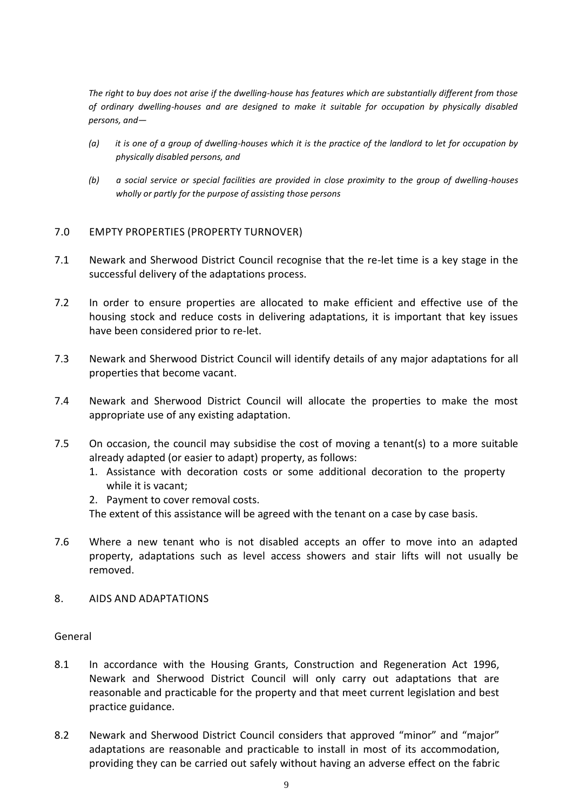*The right to buy does not arise if the dwelling-house has features which are substantially different from those of ordinary dwelling-houses and are designed to make it suitable for occupation by physically disabled persons, and—*

- *(a) it is one of a group of dwelling-houses which it is the practice of the landlord to let for occupation by physically disabled persons, and*
- *(b) a social service or special facilities are provided in close proximity to the group of dwelling-houses wholly or partly for the purpose of assisting those persons*

# <span id="page-8-0"></span>7.0 EMPTY PROPERTIES (PROPERTY TURNOVER)

- 7.1 Newark and Sherwood District Council recognise that the re-let time is a key stage in the successful delivery of the adaptations process.
- 7.2 In order to ensure properties are allocated to make efficient and effective use of the housing stock and reduce costs in delivering adaptations, it is important that key issues have been considered prior to re-let.
- 7.3 Newark and Sherwood District Council will identify details of any major adaptations for all properties that become vacant.
- 7.4 Newark and Sherwood District Council will allocate the properties to make the most appropriate use of any existing adaptation.
- 7.5 On occasion, the council may subsidise the cost of moving a tenant(s) to a more suitable already adapted (or easier to adapt) property, as follows:
	- 1. Assistance with decoration costs or some additional decoration to the property while it is vacant;
	- 2. Payment to cover removal costs.

The extent of this assistance will be agreed with the tenant on a case by case basis.

- 7.6 Where a new tenant who is not disabled accepts an offer to move into an adapted property, adaptations such as level access showers and stair lifts will not usually be removed.
- <span id="page-8-1"></span>8. AIDS AND ADAPTATIONS

# General

- 8.1 In accordance with the Housing Grants, Construction and Regeneration Act 1996, Newark and Sherwood District Council will only carry out adaptations that are reasonable and practicable for the property and that meet current legislation and best practice guidance.
- 8.2 Newark and Sherwood District Council considers that approved "minor" and "major" adaptations are reasonable and practicable to install in most of its accommodation, providing they can be carried out safely without having an adverse effect on the fabric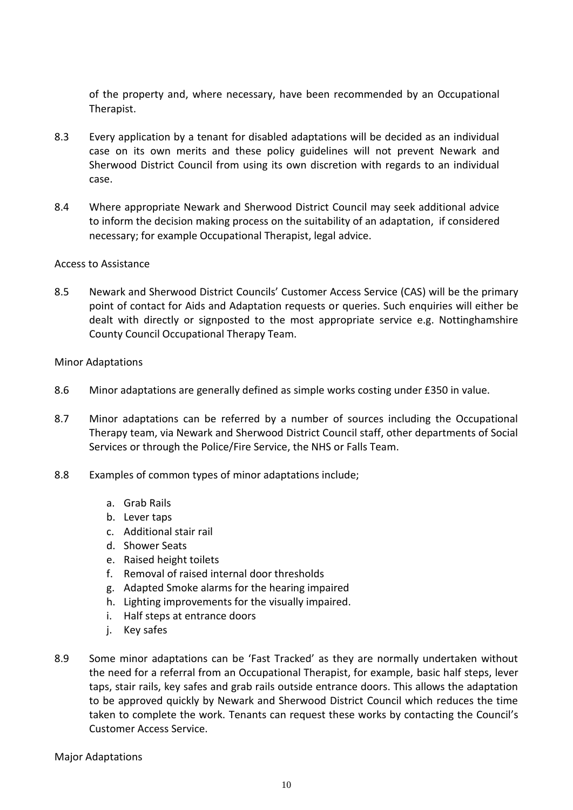of the property and, where necessary, have been recommended by an Occupational Therapist.

- 8.3 Every application by a tenant for disabled adaptations will be decided as an individual case on its own merits and these policy guidelines will not prevent Newark and Sherwood District Council from using its own discretion with regards to an individual case.
- 8.4 Where appropriate Newark and Sherwood District Council may seek additional advice to inform the decision making process on the suitability of an adaptation, if considered necessary; for example Occupational Therapist, legal advice.

#### Access to Assistance

8.5 Newark and Sherwood District Councils' Customer Access Service (CAS) will be the primary point of contact for Aids and Adaptation requests or queries. Such enquiries will either be dealt with directly or signposted to the most appropriate service e.g. Nottinghamshire County Council Occupational Therapy Team.

#### Minor Adaptations

- 8.6 Minor adaptations are generally defined as simple works costing under £350 in value.
- 8.7 Minor adaptations can be referred by a number of sources including the Occupational Therapy team, via Newark and Sherwood District Council staff, other departments of Social Services or through the Police/Fire Service, the NHS or Falls Team.
- 8.8 Examples of common types of minor adaptations include;
	- a. Grab Rails
	- b. Lever taps
	- c. Additional stair rail
	- d. Shower Seats
	- e. Raised height toilets
	- f. Removal of raised internal door thresholds
	- g. Adapted Smoke alarms for the hearing impaired
	- h. Lighting improvements for the visually impaired.
	- i. Half steps at entrance doors
	- j. Key safes
- 8.9 Some minor adaptations can be 'Fast Tracked' as they are normally undertaken without the need for a referral from an Occupational Therapist, for example, basic half steps, lever taps, stair rails, key safes and grab rails outside entrance doors. This allows the adaptation to be approved quickly by Newark and Sherwood District Council which reduces the time taken to complete the work. Tenants can request these works by contacting the Council's Customer Access Service.

Major Adaptations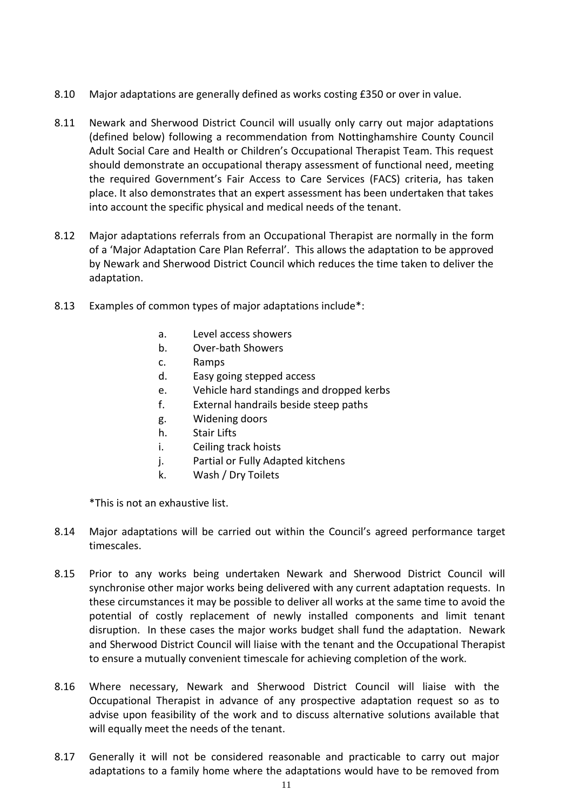- 8.10 Major adaptations are generally defined as works costing £350 or over in value.
- 8.11 Newark and Sherwood District Council will usually only carry out major adaptations (defined below) following a recommendation from Nottinghamshire County Council Adult Social Care and Health or Children's Occupational Therapist Team. This request should demonstrate an occupational therapy assessment of functional need, meeting the required Government's Fair Access to Care Services (FACS) criteria, has taken place. It also demonstrates that an expert assessment has been undertaken that takes into account the specific physical and medical needs of the tenant.
- 8.12 Major adaptations referrals from an Occupational Therapist are normally in the form of a 'Major Adaptation Care Plan Referral'. This allows the adaptation to be approved by Newark and Sherwood District Council which reduces the time taken to deliver the adaptation.
- 8.13 Examples of common types of major adaptations include\*:
	- a. Level access showers
	- b. Over-bath Showers
	- c. Ramps
	- d. Easy going stepped access
	- e. Vehicle hard standings and dropped kerbs
	- f. External handrails beside steep paths
	- g. Widening doors
	- h. Stair Lifts
	- i. Ceiling track hoists
	- j. Partial or Fully Adapted kitchens
	- k. Wash / Dry Toilets

\*This is not an exhaustive list.

- 8.14 Major adaptations will be carried out within the Council's agreed performance target timescales.
- 8.15 Prior to any works being undertaken Newark and Sherwood District Council will synchronise other major works being delivered with any current adaptation requests. In these circumstances it may be possible to deliver all works at the same time to avoid the potential of costly replacement of newly installed components and limit tenant disruption. In these cases the major works budget shall fund the adaptation. Newark and Sherwood District Council will liaise with the tenant and the Occupational Therapist to ensure a mutually convenient timescale for achieving completion of the work.
- 8.16 Where necessary, Newark and Sherwood District Council will liaise with the Occupational Therapist in advance of any prospective adaptation request so as to advise upon feasibility of the work and to discuss alternative solutions available that will equally meet the needs of the tenant.
- 8.17 Generally it will not be considered reasonable and practicable to carry out major adaptations to a family home where the adaptations would have to be removed from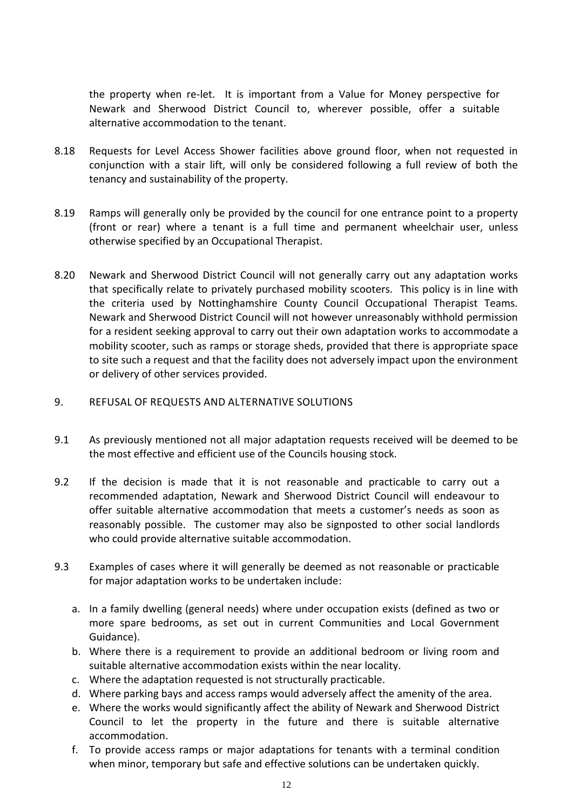the property when re-let. It is important from a Value for Money perspective for Newark and Sherwood District Council to, wherever possible, offer a suitable alternative accommodation to the tenant.

- 8.18 Requests for Level Access Shower facilities above ground floor, when not requested in conjunction with a stair lift, will only be considered following a full review of both the tenancy and sustainability of the property.
- 8.19 Ramps will generally only be provided by the council for one entrance point to a property (front or rear) where a tenant is a full time and permanent wheelchair user, unless otherwise specified by an Occupational Therapist.
- 8.20 Newark and Sherwood District Council will not generally carry out any adaptation works that specifically relate to privately purchased mobility scooters. This policy is in line with the criteria used by Nottinghamshire County Council Occupational Therapist Teams. Newark and Sherwood District Council will not however unreasonably withhold permission for a resident seeking approval to carry out their own adaptation works to accommodate a mobility scooter, such as ramps or storage sheds, provided that there is appropriate space to site such a request and that the facility does not adversely impact upon the environment or delivery of other services provided.

# <span id="page-11-0"></span>9. REFUSAL OF REQUESTS AND ALTERNATIVE SOLUTIONS

- 9.1 As previously mentioned not all major adaptation requests received will be deemed to be the most effective and efficient use of the Councils housing stock.
- 9.2 If the decision is made that it is not reasonable and practicable to carry out a recommended adaptation, Newark and Sherwood District Council will endeavour to offer suitable alternative accommodation that meets a customer's needs as soon as reasonably possible. The customer may also be signposted to other social landlords who could provide alternative suitable accommodation.
- 9.3 Examples of cases where it will generally be deemed as not reasonable or practicable for major adaptation works to be undertaken include:
	- a. In a family dwelling (general needs) where under occupation exists (defined as two or more spare bedrooms, as set out in current Communities and Local Government Guidance).
	- b. Where there is a requirement to provide an additional bedroom or living room and suitable alternative accommodation exists within the near locality.
	- c. Where the adaptation requested is not structurally practicable.
	- d. Where parking bays and access ramps would adversely affect the amenity of the area.
	- e. Where the works would significantly affect the ability of Newark and Sherwood District Council to let the property in the future and there is suitable alternative accommodation.
	- f. To provide access ramps or major adaptations for tenants with a terminal condition when minor, temporary but safe and effective solutions can be undertaken quickly.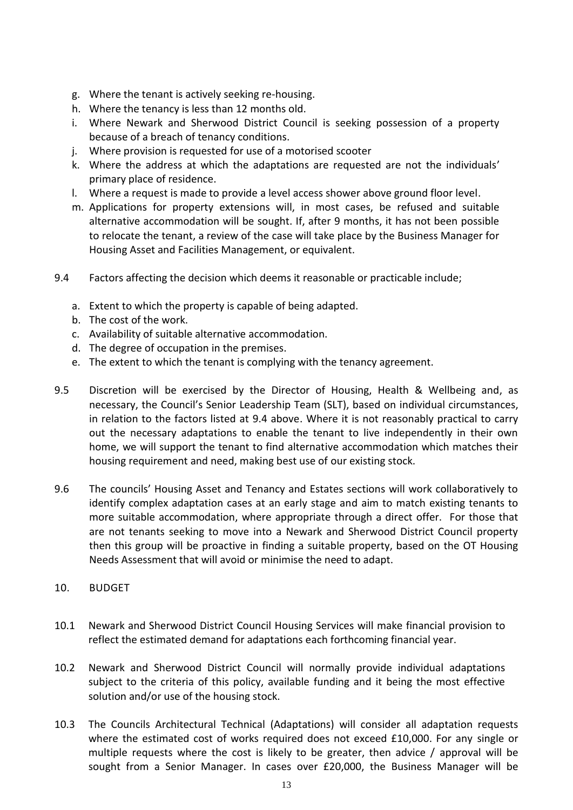- g. Where the tenant is actively seeking re-housing.
- h. Where the tenancy is less than 12 months old.
- i. Where Newark and Sherwood District Council is seeking possession of a property because of a breach of tenancy conditions.
- j. Where provision is requested for use of a motorised scooter
- k. Where the address at which the adaptations are requested are not the individuals' primary place of residence.
- l. Where a request is made to provide a level access shower above ground floor level.
- m. Applications for property extensions will, in most cases, be refused and suitable alternative accommodation will be sought. If, after 9 months, it has not been possible to relocate the tenant, a review of the case will take place by the Business Manager for Housing Asset and Facilities Management, or equivalent.
- 9.4 Factors affecting the decision which deems it reasonable or practicable include;
	- a. Extent to which the property is capable of being adapted.
	- b. The cost of the work.
	- c. Availability of suitable alternative accommodation.
	- d. The degree of occupation in the premises.
	- e. The extent to which the tenant is complying with the tenancy agreement.
- 9.5 Discretion will be exercised by the Director of Housing, Health & Wellbeing and, as necessary, the Council's Senior Leadership Team (SLT), based on individual circumstances, in relation to the factors listed at 9.4 above. Where it is not reasonably practical to carry out the necessary adaptations to enable the tenant to live independently in their own home, we will support the tenant to find alternative accommodation which matches their housing requirement and need, making best use of our existing stock.
- 9.6 The councils' Housing Asset and Tenancy and Estates sections will work collaboratively to identify complex adaptation cases at an early stage and aim to match existing tenants to more suitable accommodation, where appropriate through a direct offer. For those that are not tenants seeking to move into a Newark and Sherwood District Council property then this group will be proactive in finding a suitable property, based on the OT Housing Needs Assessment that will avoid or minimise the need to adapt.
- <span id="page-12-0"></span>10. BUDGET
- 10.1 Newark and Sherwood District Council Housing Services will make financial provision to reflect the estimated demand for adaptations each forthcoming financial year.
- 10.2 Newark and Sherwood District Council will normally provide individual adaptations subject to the criteria of this policy, available funding and it being the most effective solution and/or use of the housing stock.
- 10.3 The Councils Architectural Technical (Adaptations) will consider all adaptation requests where the estimated cost of works required does not exceed £10,000. For any single or multiple requests where the cost is likely to be greater, then advice / approval will be sought from a Senior Manager. In cases over £20,000, the Business Manager will be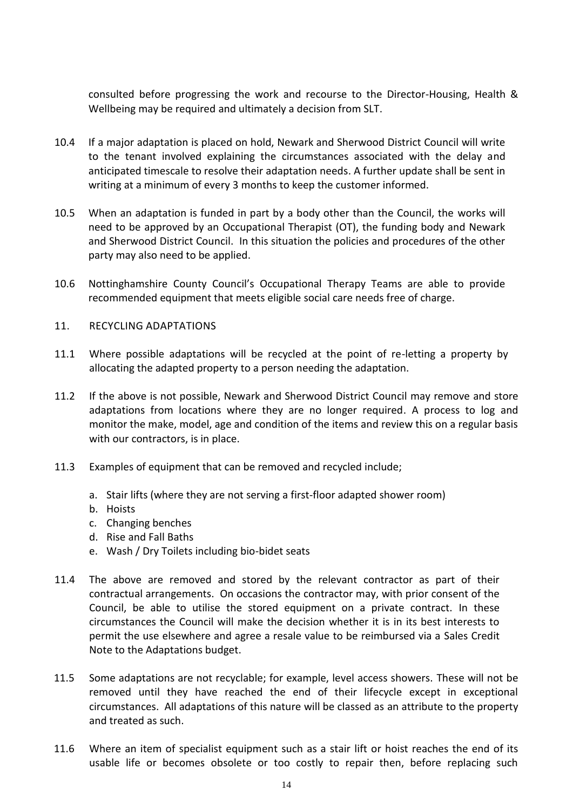consulted before progressing the work and recourse to the Director-Housing, Health & Wellbeing may be required and ultimately a decision from SLT.

- 10.4 If a major adaptation is placed on hold, Newark and Sherwood District Council will write to the tenant involved explaining the circumstances associated with the delay and anticipated timescale to resolve their adaptation needs. A further update shall be sent in writing at a minimum of every 3 months to keep the customer informed.
- 10.5 When an adaptation is funded in part by a body other than the Council, the works will need to be approved by an Occupational Therapist (OT), the funding body and Newark and Sherwood District Council. In this situation the policies and procedures of the other party may also need to be applied.
- 10.6 Nottinghamshire County Council's Occupational Therapy Teams are able to provide recommended equipment that meets eligible social care needs free of charge.
- <span id="page-13-0"></span>11. RECYCLING ADAPTATIONS
- 11.1 Where possible adaptations will be recycled at the point of re-letting a property by allocating the adapted property to a person needing the adaptation.
- 11.2 If the above is not possible, Newark and Sherwood District Council may remove and store adaptations from locations where they are no longer required. A process to log and monitor the make, model, age and condition of the items and review this on a regular basis with our contractors, is in place.
- 11.3 Examples of equipment that can be removed and recycled include;
	- a. Stair lifts (where they are not serving a first-floor adapted shower room)
	- b. Hoists
	- c. Changing benches
	- d. Rise and Fall Baths
	- e. Wash / Dry Toilets including bio-bidet seats
- 11.4 The above are removed and stored by the relevant contractor as part of their contractual arrangements. On occasions the contractor may, with prior consent of the Council, be able to utilise the stored equipment on a private contract. In these circumstances the Council will make the decision whether it is in its best interests to permit the use elsewhere and agree a resale value to be reimbursed via a Sales Credit Note to the Adaptations budget.
- 11.5 Some adaptations are not recyclable; for example, level access showers. These will not be removed until they have reached the end of their lifecycle except in exceptional circumstances. All adaptations of this nature will be classed as an attribute to the property and treated as such.
- 11.6 Where an item of specialist equipment such as a stair lift or hoist reaches the end of its usable life or becomes obsolete or too costly to repair then, before replacing such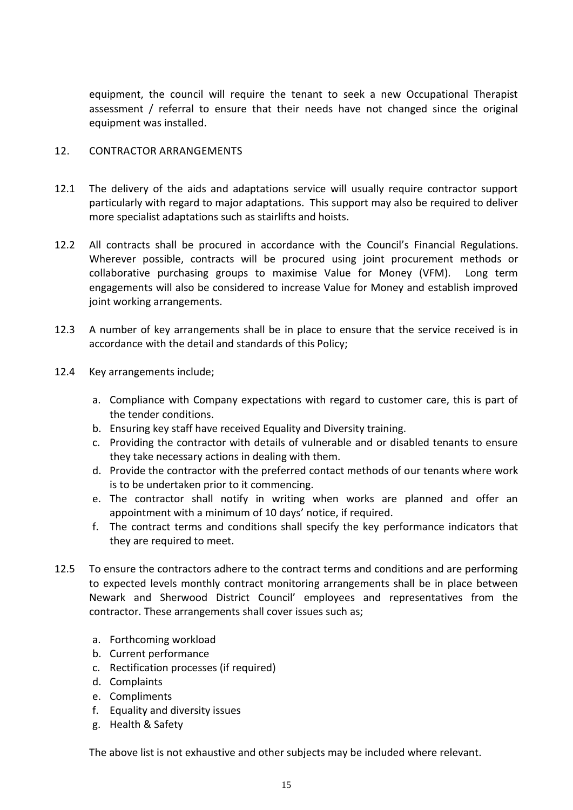equipment, the council will require the tenant to seek a new Occupational Therapist assessment / referral to ensure that their needs have not changed since the original equipment was installed.

# <span id="page-14-0"></span>12. CONTRACTOR ARRANGEMENTS

- 12.1 The delivery of the aids and adaptations service will usually require contractor support particularly with regard to major adaptations. This support may also be required to deliver more specialist adaptations such as stairlifts and hoists.
- 12.2 All contracts shall be procured in accordance with the Council's Financial Regulations. Wherever possible, contracts will be procured using joint procurement methods or collaborative purchasing groups to maximise Value for Money (VFM). Long term engagements will also be considered to increase Value for Money and establish improved joint working arrangements.
- 12.3 A number of key arrangements shall be in place to ensure that the service received is in accordance with the detail and standards of this Policy;
- 12.4 Key arrangements include;
	- a. Compliance with Company expectations with regard to customer care, this is part of the tender conditions.
	- b. Ensuring key staff have received Equality and Diversity training.
	- c. Providing the contractor with details of vulnerable and or disabled tenants to ensure they take necessary actions in dealing with them.
	- d. Provide the contractor with the preferred contact methods of our tenants where work is to be undertaken prior to it commencing.
	- e. The contractor shall notify in writing when works are planned and offer an appointment with a minimum of 10 days' notice, if required.
	- f. The contract terms and conditions shall specify the key performance indicators that they are required to meet.
- 12.5 To ensure the contractors adhere to the contract terms and conditions and are performing to expected levels monthly contract monitoring arrangements shall be in place between Newark and Sherwood District Council' employees and representatives from the contractor. These arrangements shall cover issues such as;
	- a. Forthcoming workload
	- b. Current performance
	- c. Rectification processes (if required)
	- d. Complaints
	- e. Compliments
	- f. Equality and diversity issues
	- g. Health & Safety

The above list is not exhaustive and other subjects may be included where relevant.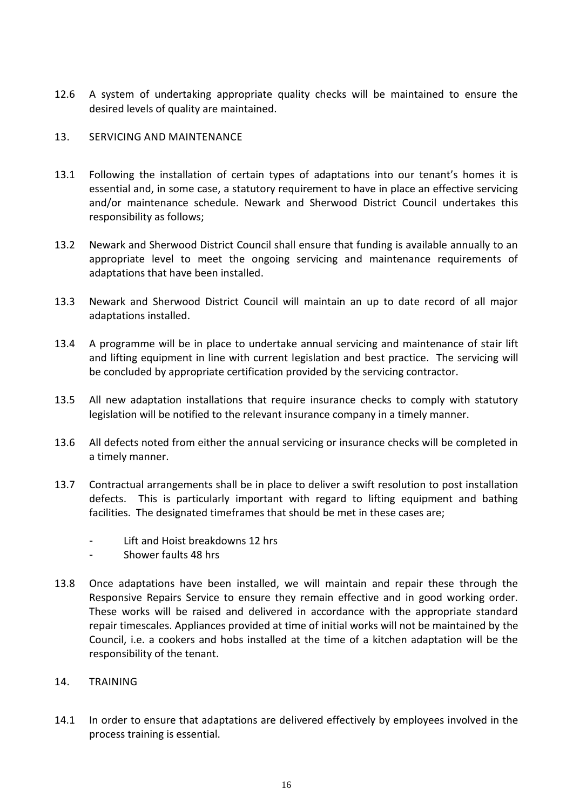12.6 A system of undertaking appropriate quality checks will be maintained to ensure the desired levels of quality are maintained.

# <span id="page-15-0"></span>13. SERVICING AND MAINTENANCE

- 13.1 Following the installation of certain types of adaptations into our tenant's homes it is essential and, in some case, a statutory requirement to have in place an effective servicing and/or maintenance schedule. Newark and Sherwood District Council undertakes this responsibility as follows;
- 13.2 Newark and Sherwood District Council shall ensure that funding is available annually to an appropriate level to meet the ongoing servicing and maintenance requirements of adaptations that have been installed.
- 13.3 Newark and Sherwood District Council will maintain an up to date record of all major adaptations installed.
- 13.4 A programme will be in place to undertake annual servicing and maintenance of stair lift and lifting equipment in line with current legislation and best practice. The servicing will be concluded by appropriate certification provided by the servicing contractor.
- 13.5 All new adaptation installations that require insurance checks to comply with statutory legislation will be notified to the relevant insurance company in a timely manner.
- 13.6 All defects noted from either the annual servicing or insurance checks will be completed in a timely manner.
- 13.7 Contractual arrangements shall be in place to deliver a swift resolution to post installation defects. This is particularly important with regard to lifting equipment and bathing facilities. The designated timeframes that should be met in these cases are;
	- Lift and Hoist breakdowns 12 hrs
	- Shower faults 48 hrs
- 13.8 Once adaptations have been installed, we will maintain and repair these through the Responsive Repairs Service to ensure they remain effective and in good working order. These works will be raised and delivered in accordance with the appropriate standard repair timescales. Appliances provided at time of initial works will not be maintained by the Council, i.e. a cookers and hobs installed at the time of a kitchen adaptation will be the responsibility of the tenant.
- <span id="page-15-1"></span>14. TRAINING
- 14.1 In order to ensure that adaptations are delivered effectively by employees involved in the process training is essential.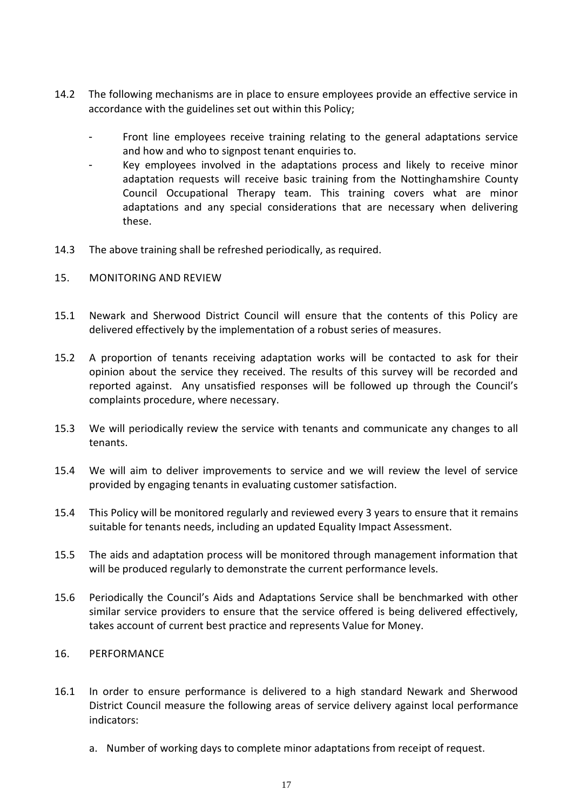- 14.2 The following mechanisms are in place to ensure employees provide an effective service in accordance with the guidelines set out within this Policy;
	- Front line employees receive training relating to the general adaptations service and how and who to signpost tenant enquiries to.
	- Key employees involved in the adaptations process and likely to receive minor adaptation requests will receive basic training from the Nottinghamshire County Council Occupational Therapy team. This training covers what are minor adaptations and any special considerations that are necessary when delivering these.
- 14.3 The above training shall be refreshed periodically, as required.
- <span id="page-16-0"></span>15. MONITORING AND REVIEW
- 15.1 Newark and Sherwood District Council will ensure that the contents of this Policy are delivered effectively by the implementation of a robust series of measures.
- 15.2 A proportion of tenants receiving adaptation works will be contacted to ask for their opinion about the service they received. The results of this survey will be recorded and reported against. Any unsatisfied responses will be followed up through the Council's complaints procedure, where necessary.
- 15.3 We will periodically review the service with tenants and communicate any changes to all tenants.
- 15.4 We will aim to deliver improvements to service and we will review the level of service provided by engaging tenants in evaluating customer satisfaction.
- 15.4 This Policy will be monitored regularly and reviewed every 3 years to ensure that it remains suitable for tenants needs, including an updated Equality Impact Assessment.
- 15.5 The aids and adaptation process will be monitored through management information that will be produced regularly to demonstrate the current performance levels.
- 15.6 Periodically the Council's Aids and Adaptations Service shall be benchmarked with other similar service providers to ensure that the service offered is being delivered effectively, takes account of current best practice and represents Value for Money.

# <span id="page-16-1"></span>16. PERFORMANCE

- 16.1 In order to ensure performance is delivered to a high standard Newark and Sherwood District Council measure the following areas of service delivery against local performance indicators:
	- a. Number of working days to complete minor adaptations from receipt of request.